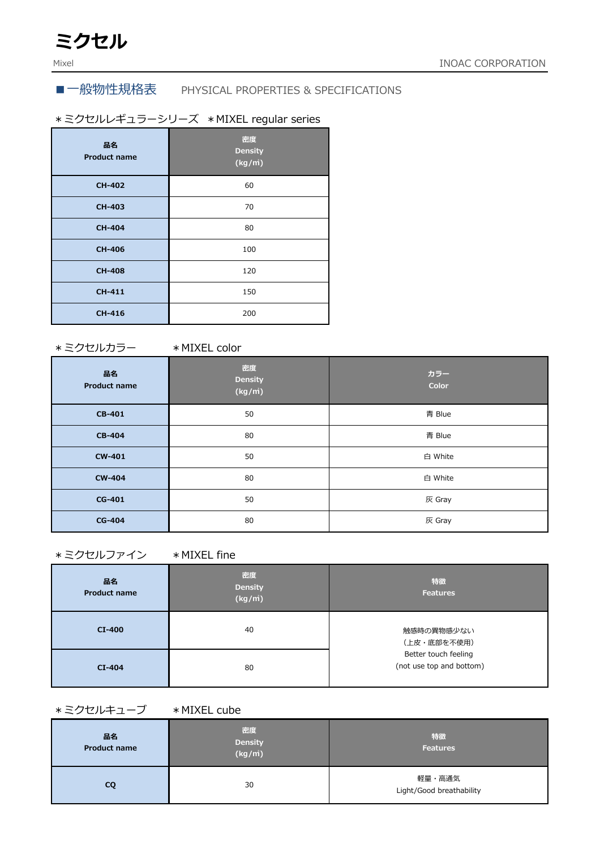# ■一般物性規格表 PHYSICAL PROPERTIES & SPECIFICATIONS

# \*ミクセルレギュラーシリーズ \*MIXEL regular series

| 品名<br><b>Product name</b> | 密度<br><b>Density</b><br>(kg/m) |
|---------------------------|--------------------------------|
| <b>CH-402</b>             | 60                             |
| <b>CH-403</b>             | 70                             |
| <b>CH-404</b>             | 80                             |
| <b>CH-406</b>             | 100                            |
| <b>CH-408</b>             | 120                            |
| <b>CH-411</b>             | 150                            |
| <b>CH-416</b>             | 200                            |

\*ミクセルカラー \*MIXEL color

| 品名<br><b>Product name</b> | 密度<br><b>Density</b><br>(kg/m) | カラー<br>Color |
|---------------------------|--------------------------------|--------------|
| CB-401                    | 50                             | 青 Blue       |
| <b>CB-404</b>             | 80                             | 青 Blue       |
| <b>CW-401</b>             | 50                             | 白 White      |
| <b>CW-404</b>             | 80                             | 白 White      |
| CG-401                    | 50                             | 灰 Gray       |
| <b>CG-404</b>             | 80                             | 灰 Gray       |

### \*ミクセルファイン \*MIXEL fine

| 品名<br><b>Product name</b> | 密度<br><b>Density</b><br>(kg/m) | 特徵<br><b>Features</b>                            |
|---------------------------|--------------------------------|--------------------------------------------------|
| $CI-400$                  | 40                             | 触感時の異物感少ない<br>(上皮・底部を不使用)                        |
| $CI-404$                  | 80                             | Better touch feeling<br>(not use top and bottom) |

## \*ミクセルキューブ \*MIXEL cube

| 品名<br><b>Product name</b> | 密度<br><b>Density</b><br>$(kg/\overrightarrow{m})$ | 特徴<br><b>Features</b>              |
|---------------------------|---------------------------------------------------|------------------------------------|
| CQ                        | 30                                                | 軽量・高通気<br>Light/Good breathability |